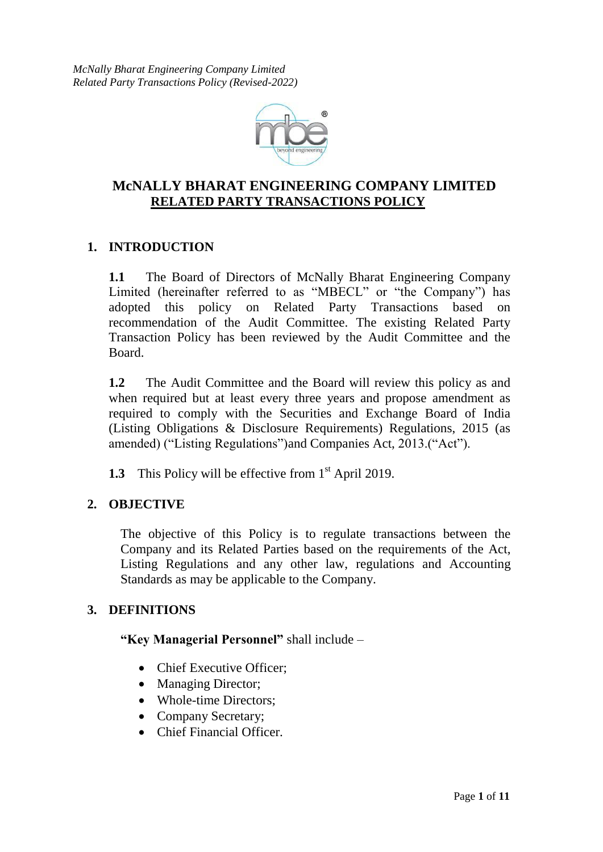

# **McNALLY BHARAT ENGINEERING COMPANY LIMITED RELATED PARTY TRANSACTIONS POLICY**

## **1. INTRODUCTION**

**1.1** The Board of Directors of McNally Bharat Engineering Company Limited (hereinafter referred to as "MBECL" or "the Company") has adopted this policy on Related Party Transactions based on recommendation of the Audit Committee. The existing Related Party Transaction Policy has been reviewed by the Audit Committee and the Board.

**1.2** The Audit Committee and the Board will review this policy as and when required but at least every three years and propose amendment as required to comply with the Securities and Exchange Board of India (Listing Obligations & Disclosure Requirements) Regulations, 2015 (as amended) ("Listing Regulations")and Companies Act, 2013.("Act").

1.3 This Policy will be effective from 1<sup>st</sup> April 2019.

## **2. OBJECTIVE**

The objective of this Policy is to regulate transactions between the Company and its Related Parties based on the requirements of the Act, Listing Regulations and any other law, regulations and Accounting Standards as may be applicable to the Company.

## **3. DEFINITIONS**

**"Key Managerial Personnel"** shall include –

- Chief Executive Officer;
- Managing Director;
- Whole-time Directors:
- Company Secretary;
- Chief Financial Officer.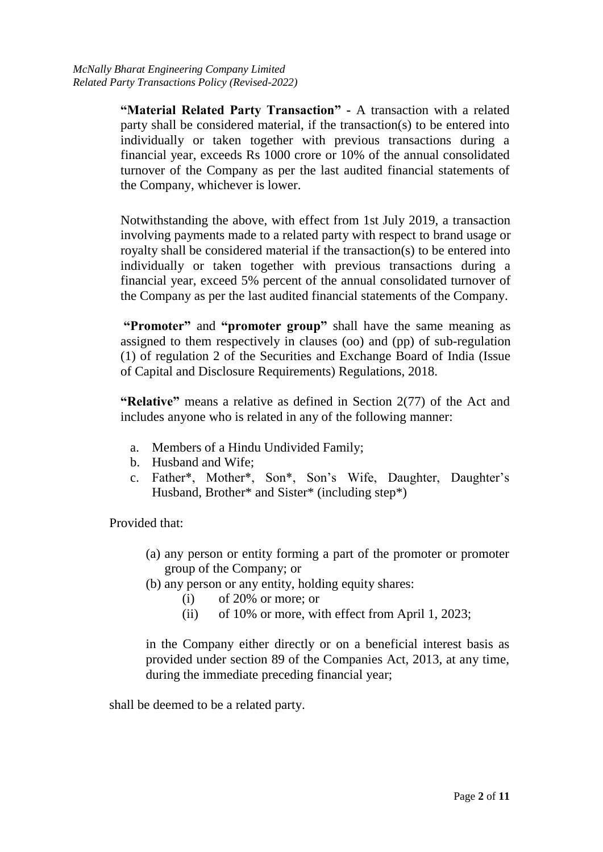**"Material Related Party Transaction" -** A transaction with a related party shall be considered material, if the transaction(s) to be entered into individually or taken together with previous transactions during a financial year, exceeds Rs 1000 crore or 10% of the annual consolidated turnover of the Company as per the last audited financial statements of the Company, whichever is lower.

Notwithstanding the above, with effect from 1st July 2019, a transaction involving payments made to a related party with respect to brand usage or royalty shall be considered material if the transaction(s) to be entered into individually or taken together with previous transactions during a financial year, exceed 5% percent of the annual consolidated turnover of the Company as per the last audited financial statements of the Company.

**"Promoter"** and **"promoter group"** shall have the same meaning as assigned to them respectively in clauses (oo) and (pp) of sub-regulation (1) of regulation 2 of the Securities and Exchange Board of India (Issue of Capital and Disclosure Requirements) Regulations, 2018.

**"Relative"** means a relative as defined in Section 2(77) of the Act and includes anyone who is related in any of the following manner:

- a. Members of a Hindu Undivided Family;
- b. Husband and Wife;
- c. Father\*, Mother\*, Son\*, Son's Wife, Daughter, Daughter's Husband, Brother\* and Sister\* (including step\*)

Provided that:

- (a) any person or entity forming a part of the promoter or promoter group of the Company; or
- (b) any person or any entity, holding equity shares:
	- (i) of 20% or more; or
	- (ii) of 10% or more, with effect from April 1, 2023;

in the Company either directly or on a beneficial interest basis as provided under section 89 of the Companies Act, 2013, at any time, during the immediate preceding financial year;

shall be deemed to be a related party.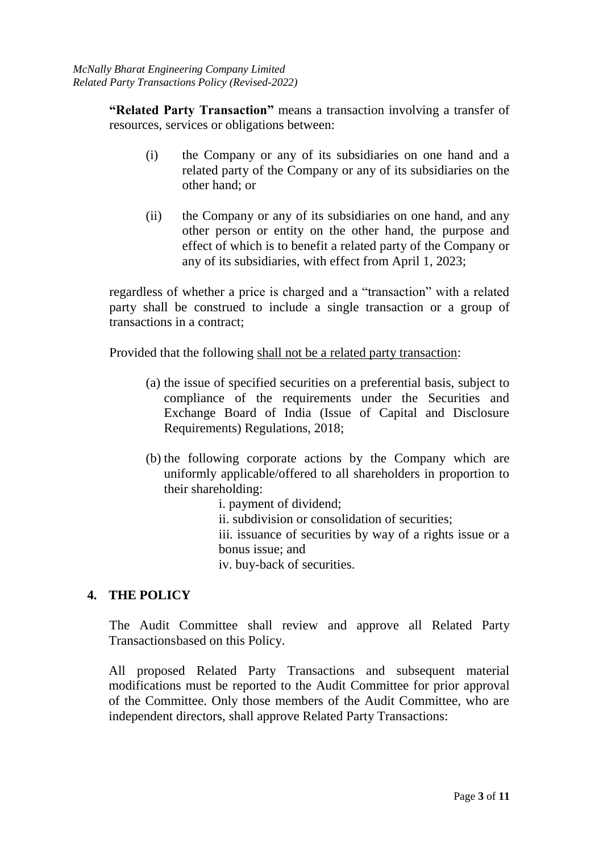**"Related Party Transaction"** means a transaction involving a transfer of resources, services or obligations between:

- (i) the Company or any of its subsidiaries on one hand and a related party of the Company or any of its subsidiaries on the other hand; or
- (ii) the Company or any of its subsidiaries on one hand, and any other person or entity on the other hand, the purpose and effect of which is to benefit a related party of the Company or any of its subsidiaries, with effect from April 1, 2023;

regardless of whether a price is charged and a "transaction" with a related party shall be construed to include a single transaction or a group of transactions in a contract;

Provided that the following shall not be a related party transaction:

- (a) the issue of specified securities on a preferential basis, subject to compliance of the requirements under the Securities and Exchange Board of India (Issue of Capital and Disclosure Requirements) Regulations, 2018;
- (b) the following corporate actions by the Company which are uniformly applicable/offered to all shareholders in proportion to their shareholding:
	- i. payment of dividend; ii. subdivision or consolidation of securities; iii. issuance of securities by way of a rights issue or a bonus issue; and iv. buy-back of securities.

### **4. THE POLICY**

The Audit Committee shall review and approve all Related Party Transactions based on this Policy.

All proposed Related Party Transactions and subsequent material modifications must be reported to the Audit Committee for prior approval of the Committee. Only those members of the Audit Committee, who are independent directors, shall approve Related Party Transactions: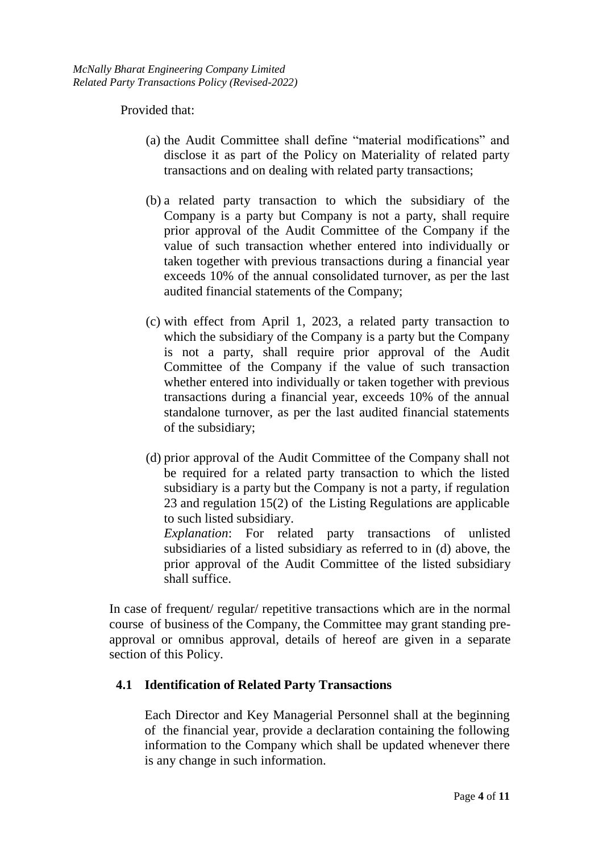Provided that:

- (a) the Audit Committee shall define "material modifications" and disclose it as part of the Policy on Materiality of related party transactions and on dealing with related party transactions;
- (b) a related party transaction to which the subsidiary of the Company is a party but Company is not a party, shall require prior approval of the Audit Committee of the Company if the value of such transaction whether entered into individually or taken together with previous transactions during a financial year exceeds 10% of the annual consolidated turnover, as per the last audited financial statements of the Company;
- (c) with effect from April 1, 2023, a related party transaction to which the subsidiary of the Company is a party but the Company is not a party, shall require prior approval of the Audit Committee of the Company if the value of such transaction whether entered into individually or taken together with previous transactions during a financial year, exceeds 10% of the annual standalone turnover, as per the last audited financial statements of the subsidiary;
- (d) prior approval of the Audit Committee of the Company shall not be required for a related party transaction to which the listed subsidiary is a party but the Company is not a party, if regulation 23 and regulation 15(2) of the Listing Regulations are applicable to such listed subsidiary.

*Explanation*: For related party transactions of unlisted subsidiaries of a listed subsidiary as referred to in (d) above, the prior approval of the Audit Committee of the listed subsidiary shall suffice.

In case of frequent/ regular/ repetitive transactions which are in the normal course of business of the Company, the Committee may grant standing preapproval or omnibus approval, details of hereof are given in a separate section of this Policy.

## **4.1 Identification of Related Party Transactions**

Each Director and Key Managerial Personnel shall at the beginning of the financial year, provide a declaration containing the following information to the Company which shall be updated whenever there is any change in such information.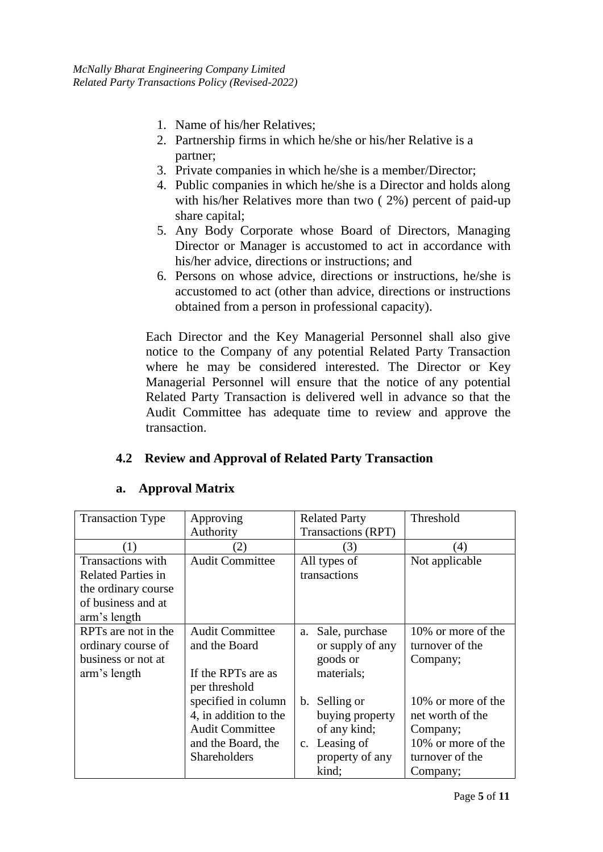- 1. Name of his/her Relatives;
- 2. Partnership firms in which he/she or his/her Relative is a partner;
- 3. Private companies in which he/she is a member/Director;
- 4. Public companies in which he/she is a Director and holds along with his/her Relatives more than two ( 2%) percent of paid-up share capital;
- 5. Any Body Corporate whose Board of Directors, Managing Director or Manager is accustomed to act in accordance with his/her advice, directions or instructions; and
- 6. Persons on whose advice, directions or instructions, he/she is accustomed to act (other than advice, directions or instructions obtained from a person in professional capacity).

Each Director and the Key Managerial Personnel shall also give notice to the Company of any potential Related Party Transaction where he may be considered interested. The Director or Key Managerial Personnel will ensure that the notice of any potential Related Party Transaction is delivered well in advance so that the Audit Committee has adequate time to review and approve the transaction.

## **4.2 Review and Approval of Related Party Transaction**

### **a. Approval Matrix**

| <b>Transaction Type</b>   | Approving              | <b>Related Party</b> | Threshold          |
|---------------------------|------------------------|----------------------|--------------------|
|                           | Authority              | Transactions (RPT)   |                    |
| (1)                       | (2)                    | (3)                  | (4)                |
| <b>Transactions</b> with  | <b>Audit Committee</b> | All types of         | Not applicable     |
| <b>Related Parties in</b> |                        | transactions         |                    |
| the ordinary course       |                        |                      |                    |
| of business and at        |                        |                      |                    |
| arm's length              |                        |                      |                    |
| RPTs are not in the       | <b>Audit Committee</b> | Sale, purchase<br>a. | 10% or more of the |
| ordinary course of        | and the Board          | or supply of any     | turnover of the    |
| business or not at        |                        | goods or             | Company;           |
| arm's length              | If the RPTs are as     | materials;           |                    |
|                           | per threshold          |                      |                    |
|                           | specified in column    | b. Selling or        | 10% or more of the |
|                           | 4, in addition to the  | buying property      | net worth of the   |
|                           | <b>Audit Committee</b> | of any kind;         | Company;           |
|                           | and the Board, the     | c. Leasing of        | 10% or more of the |
|                           | <b>Shareholders</b>    | property of any      | turnover of the    |
|                           |                        | kind;                | Company;           |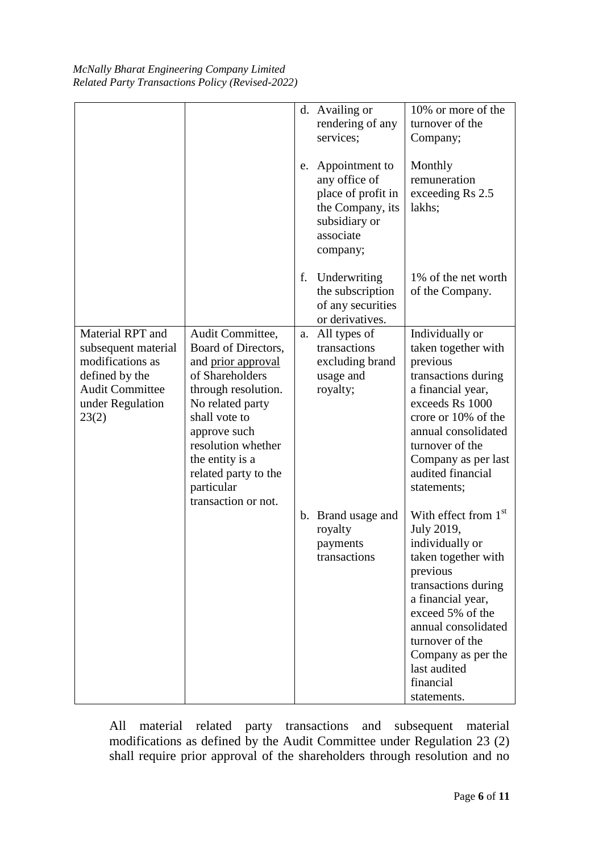| McNally Bharat Engineering Company Limited       |  |
|--------------------------------------------------|--|
| Related Party Transactions Policy (Revised-2022) |  |

|                                                                                                                                      |                                                                                                                                                                                                                                                                    |    | d. Availing or<br>rendering of any<br>services;                                                                        | 10% or more of the<br>turnover of the<br>Company;                                                                                                                                                                                                                      |
|--------------------------------------------------------------------------------------------------------------------------------------|--------------------------------------------------------------------------------------------------------------------------------------------------------------------------------------------------------------------------------------------------------------------|----|------------------------------------------------------------------------------------------------------------------------|------------------------------------------------------------------------------------------------------------------------------------------------------------------------------------------------------------------------------------------------------------------------|
|                                                                                                                                      |                                                                                                                                                                                                                                                                    |    | e. Appointment to<br>any office of<br>place of profit in<br>the Company, its<br>subsidiary or<br>associate<br>company; | Monthly<br>remuneration<br>exceeding Rs 2.5<br>lakhs;                                                                                                                                                                                                                  |
|                                                                                                                                      |                                                                                                                                                                                                                                                                    | f. | Underwriting<br>the subscription<br>of any securities<br>or derivatives.                                               | 1% of the net worth<br>of the Company.                                                                                                                                                                                                                                 |
| Material RPT and<br>subsequent material<br>modifications as<br>defined by the<br><b>Audit Committee</b><br>under Regulation<br>23(2) | Audit Committee,<br>Board of Directors,<br>and prior approval<br>of Shareholders<br>through resolution.<br>No related party<br>shall vote to<br>approve such<br>resolution whether<br>the entity is a<br>related party to the<br>particular<br>transaction or not. |    | a. All types of<br>transactions<br>excluding brand<br>usage and<br>royalty;                                            | Individually or<br>taken together with<br>previous<br>transactions during<br>a financial year,<br>exceeds Rs 1000<br>crore or 10% of the<br>annual consolidated<br>turnover of the<br>Company as per last<br>audited financial<br>statements;                          |
|                                                                                                                                      |                                                                                                                                                                                                                                                                    |    | b. Brand usage and<br>royalty<br>payments<br>transactions                                                              | With effect from $1st$<br>July 2019,<br>individually or<br>taken together with<br>previous<br>transactions during<br>a financial year,<br>exceed 5% of the<br>annual consolidated<br>turnover of the<br>Company as per the<br>last audited<br>financial<br>statements. |

All material related party transactions and subsequent material modifications as defined by the Audit Committee under Regulation 23 (2) shall require prior approval of the shareholders through resolution and no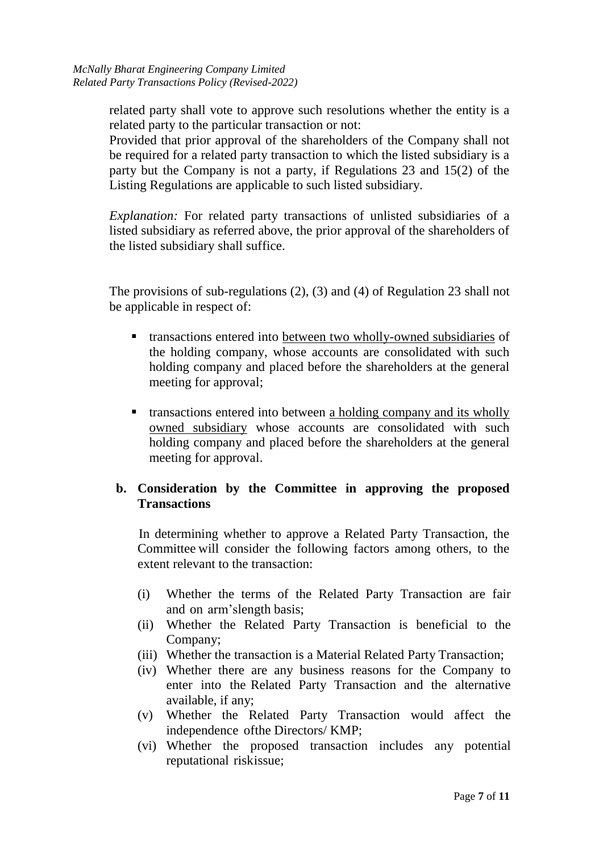related party shall vote to approve such resolutions whether the entity is a related party to the particular transaction or not:

Provided that prior approval of the shareholders of the Company shall not be required for a related party transaction to which the listed subsidiary is a party but the Company is not a party, if Regulations 23 and 15(2) of the Listing Regulations are applicable to such listed subsidiary.

*Explanation:* For related party transactions of unlisted subsidiaries of a listed subsidiary as referred above, the prior approval of the shareholders of the listed subsidiary shall suffice.

The provisions of sub-regulations (2), (3) and (4) of Regulation 23 shall not be applicable in respect of:

- transactions entered into between two wholly-owned subsidiaries of the holding company, whose accounts are consolidated with such holding company and placed before the shareholders at the general meeting for approval;
- transactions entered into between a holding company and its wholly owned subsidiary whose accounts are consolidated with such holding company and placed before the shareholders at the general meeting for approval.

### **b. Consideration by the Committee in approving the proposed Transactions**

In determining whether to approve a Related Party Transaction, the Committee will consider the following factors among others, to the extent relevant to the transaction:

- (i) Whether the terms of the Related Party Transaction are fair and on arm'slength basis;
- (ii) Whether the Related Party Transaction is beneficial to the Company;
- (iii) Whether the transaction is a Material Related Party Transaction;
- (iv) Whether there are any business reasons for the Company to enter into the Related Party Transaction and the alternative available, if any;
- (v) Whether the Related Party Transaction would affect the independence ofthe Directors/ KMP;
- (vi) Whether the proposed transaction includes any potential reputational riskissue: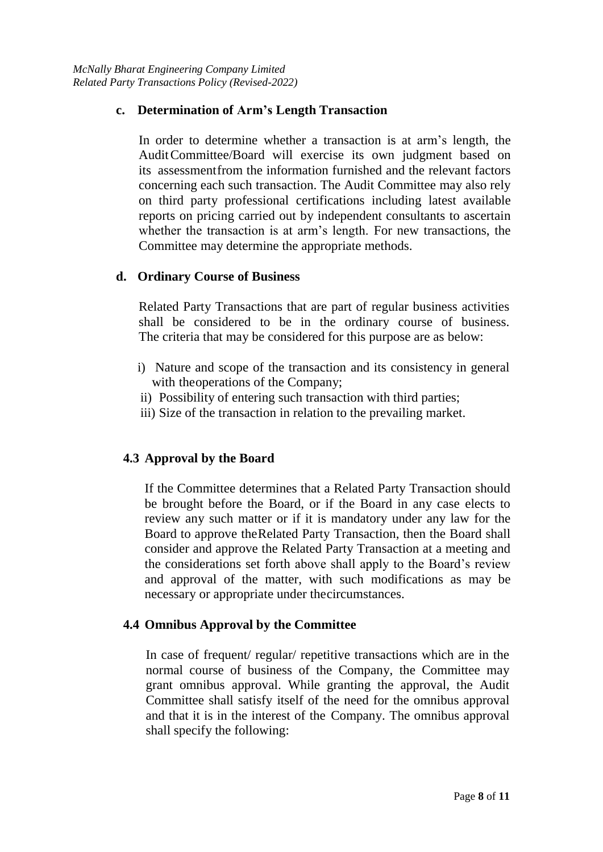### **c. Determination of Arm's Length Transaction**

In order to determine whether a transaction is at arm's length, the AuditCommittee/Board will exercise its own judgment based on its assessmentfrom the information furnished and the relevant factors concerning each such transaction. The Audit Committee may also rely on third party professional certifications including latest available reports on pricing carried out by independent consultants to ascertain whether the transaction is at arm's length. For new transactions, the Committee may determine the appropriate methods.

#### **d. Ordinary Course of Business**

Related Party Transactions that are part of regular business activities shall be considered to be in the ordinary course of business. The criteria that may be considered for this purpose are as below:

- i) Nature and scope of the transaction and its consistency in general with the operations of the Company;
- ii)Possibility of entering such transaction with third parties;
- iii) Size of the transaction in relation to the prevailing market.

### **4.3 Approval by the Board**

If the Committee determines that a Related Party Transaction should be brought before the Board, or if the Board in any case elects to review any such matter or if it is mandatory under any law for the Board to approve theRelated Party Transaction, then the Board shall consider and approve the Related Party Transaction at a meeting and the considerations set forth above shall apply to the Board's review and approval of the matter, with such modifications as may be necessary or appropriate under the circumstances.

### **4.4 Omnibus Approval by the Committee**

In case of frequent/ regular/ repetitive transactions which are in the normal course of business of the Company, the Committee may grant omnibus approval. While granting the approval, the Audit Committee shall satisfy itself of the need for the omnibus approval and that it is in the interest of the Company. The omnibus approval shall specify the following: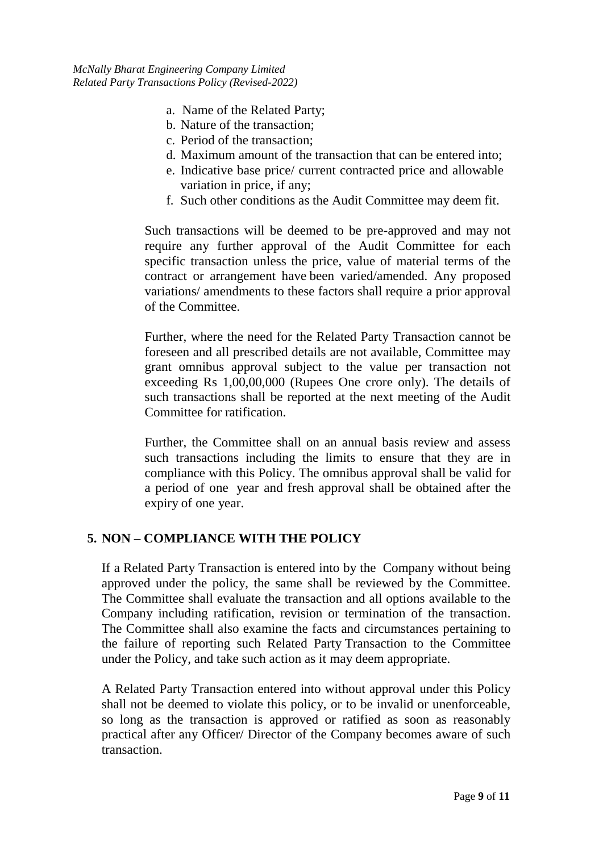*McNally Bharat Engineering Company Limited Related Party Transactions Policy (Revised-2022)*

- a. Name of the Related Party;
- b. Nature of the transaction;
- c. Period of the transaction;
- d. Maximum amount of the transaction that can be entered into;
- e. Indicative base price/ current contracted price and allowable variation in price, if any;
- f. Such other conditions as the Audit Committee may deem fit.

Such transactions will be deemed to be pre-approved and may not require any further approval of the Audit Committee for each specific transaction unless the price, value of material terms of the contract or arrangement have been varied/amended. Any proposed variations/ amendments to these factors shall require a prior approval of the Committee.

Further, where the need for the Related Party Transaction cannot be foreseen and all prescribed details are not available, Committee may grant omnibus approval subject to the value per transaction not exceeding Rs 1,00,00,000 (Rupees One crore only). The details of such transactions shall be reported at the next meeting of the Audit Committee for ratification.

Further, the Committee shall on an annual basis review and assess such transactions including the limits to ensure that they are in compliance with this Policy. The omnibus approval shall be valid for a period of one year and fresh approval shall be obtained after the expiry of one year.

### **5. NON – COMPLIANCE WITH THE POLICY**

If a Related Party Transaction is entered into by the Company without being approved under the policy, the same shall be reviewed by the Committee. The Committee shall evaluate the transaction and all options available to the Company including ratification, revision or termination of the transaction. The Committee shall also examine the facts and circumstances pertaining to the failure of reporting such Related Party Transaction to the Committee under the Policy, and take such action as it may deem appropriate.

A Related Party Transaction entered into without approval under this Policy shall not be deemed to violate this policy, or to be invalid or unenforceable, so long as the transaction is approved or ratified as soon as reasonably practical after any Officer/ Director of the Company becomes aware of such transaction.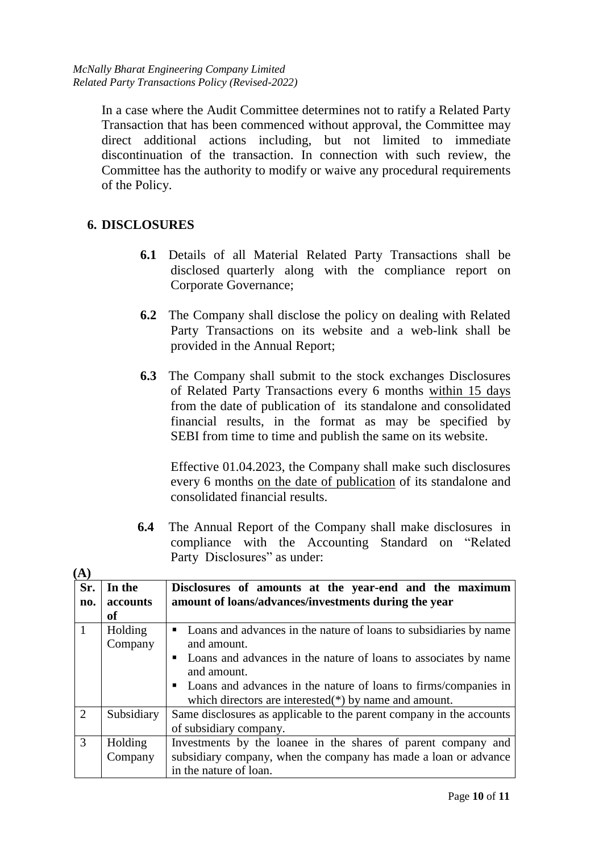In a case where the Audit Committee determines not to ratify a Related Party Transaction that has been commenced without approval, the Committee may direct additional actions including, but not limited to immediate discontinuation of the transaction. In connection with such review, the Committee has the authority to modify or waive any procedural requirements of the Policy.

# **6. DISCLOSURES**

- **6.1** Details of all Material Related Party Transactions shall be disclosed quarterly along with the compliance report on Corporate Governance;
- **6.2** The Company shall disclose the policy on dealing with Related Party Transactions on its website and a web-link shall be provided in the Annual Report;
- **6.3** The Company shall submit to the stock exchanges Disclosures of Related Party Transactions every 6 months within 15 days from the date of publication of its standalone and consolidated financial results, in the format as may be specified by SEBI from time to time and publish the same on its website.

Effective 01.04.2023, the Company shall make such disclosures every 6 months on the date of publication of its standalone and consolidated financial results.

**6.4** The Annual Report of the Company shall make disclosures in compliance with the Accounting Standard on "Related Party Disclosures" as under:

| $\mathbf{A}$   |            |                                                                      |  |  |
|----------------|------------|----------------------------------------------------------------------|--|--|
| Sr.            | In the     | Disclosures of amounts at the year-end and the maximum               |  |  |
| no.            | accounts   | amount of loans/advances/investments during the year                 |  |  |
|                | <b>of</b>  |                                                                      |  |  |
|                | Holding    | • Loans and advances in the nature of loans to subsidiaries by name  |  |  |
|                | Company    | and amount.                                                          |  |  |
|                |            | • Loans and advances in the nature of loans to associates by name    |  |  |
|                |            | and amount.                                                          |  |  |
|                |            | • Loans and advances in the nature of loans to firms/companies in    |  |  |
|                |            | which directors are interested( $*$ ) by name and amount.            |  |  |
| $\overline{2}$ | Subsidiary | Same disclosures as applicable to the parent company in the accounts |  |  |
|                |            | of subsidiary company.                                               |  |  |
| 3              | Holding    | Investments by the loanee in the shares of parent company and        |  |  |
|                | Company    | subsidiary company, when the company has made a loan or advance      |  |  |
|                |            | in the nature of loan.                                               |  |  |